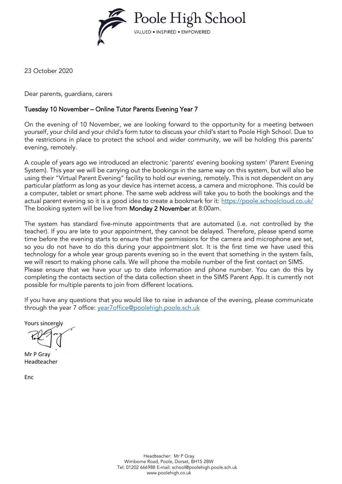

23 October 2020

Dear parents, guardians, carers

#### Tuesday 10 November – Online Tutor Parents Evening Year 7

On the evening of 10 November, we are looking forward to the opportunity for a meeting between yourself, your child and your child's form tutor to discuss your child's start to Poole High School. Due to the restrictions in place to protect the school and wider community, we will be holding this parents' evening, remotely.

A couple of years ago we introduced an electronic 'parents' evening booking system' (Parent Evening System). This year we will be carrying out the bookings in the same way on this system, but will also be using their "Virtual Parent Evening" facility to hold our evening, remotely. This is not dependent on any particular platform as long as your device has internet access, a camera and microphone. This could be a computer, tablet or smart phone. The same web address will take you to both the bookings and the actual parent evening so it is a good idea to create a bookmark for it:<https://poole.schoolcloud.co.uk/> The booking system will be live from Monday 2 November at 8:00am.

The system has standard five-minute appointments that are automated (i.e. not controlled by the teacher). If you are late to your appointment, they cannot be delayed. Therefore, please spend some time before the evening starts to ensure that the permissions for the camera and microphone are set, so you do not have to do this during your appointment slot. It is the first time we have used this technology for a whole year group parents evening so in the event that something in the system fails, we will resort to making phone calls. We will phone the mobile number of the first contact on SIMS. Please ensure that we have your up to date information and phone number. You can do this by completing the contacts section of the data collection sheet in the SIMS Parent App. It is currently not possible for multiple parents to join from different locations.

If you have any questions that you would like to raise in advance of the evening, please communicate through the year 7 office: [year7office@poolehigh.poole.sch.uk](mailto:year7office@poolehigh.poole.sch.uk)

Yours sincerely

Mr P Gray Headteacher

Enc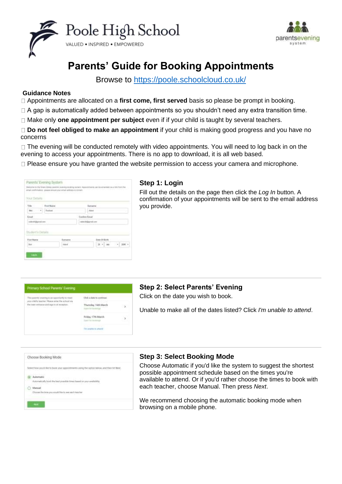



# **Parents' Guide for Booking Appointments**

Browse to<https://poole.schoolcloud.co.uk/>

#### **Guidance Notes**

Appointments are allocated on a **first come, first served** basis so please be prompt in booking.

 $\Box$  A gap is automatically added between appointments so you shouldn't need any extra transition time.

Make only **one appointment per subject** even if if your child is taught by several teachers.

**Do not feel obliged to make an appointment** if your child is making good progress and you have no concerns

 $\Box$  The evening will be conducted remotely with video appointments. You will need to log back in on the evening to access your appointments. There is no app to download, it is all web based.

□ Please ensure you have granted the website permission to access your camera and microphone.

| in the company of the best of the company<br>YOUX Defails | n              | Vieleprie to the Green Alway painters' evening receiving sectors. Againments can<br>atrail confirmation - preser artistic your situal addition in colored. |                     |               |              | t be american op a lob four Par<br>화제 기업에 있는데 일어나라 이 건강이다. |        |        |
|-----------------------------------------------------------|----------------|------------------------------------------------------------------------------------------------------------------------------------------------------------|---------------------|---------------|--------------|------------------------------------------------------------|--------|--------|
| Title 11                                                  | Filst Name     |                                                                                                                                                            |                     | <b>Langer</b> |              |                                                            |        |        |
| ÷<br>Akut 1<br>$-+$                                       | <b>Harbout</b> |                                                                                                                                                            |                     | Akime         |              |                                                            |        |        |
| Email                                                     |                |                                                                                                                                                            | Conferent Executive |               |              |                                                            |        |        |
| midsald (Danvall com-                                     |                |                                                                                                                                                            | rated il great com- |               |              |                                                            |        |        |
| Student's Details<br>Fest Warrie                          |                | Geneve                                                                                                                                                     |                     |               | Date Of Bath |                                                            |        |        |
| <b>But</b>                                                |                | <b>Side of</b>                                                                                                                                             |                     |               |              |                                                            | $\sim$ | 2090 - |

#### **Step 1: Login**

Fill out the details on the page then click the *Log In* button. A confirmation of your appointments will be sent to the email address you provide.



# **Step 2: Select Parents' Evening**

Click on the date you wish to book.

Unable to make all of the dates listed? Click *I'm unable to attend*.

| Choose Booking Mode                                                                                 |
|-----------------------------------------------------------------------------------------------------|
| ect how you'd like to book you<br>is a current or production of and blood-                          |
| kting trage<br>Automatic                                                                            |
| Sam Patrick and Patrick and Patrick and Patrick and Patrick and Patrick and Patrick and Patrick and |
| Manual                                                                                              |
| Doost the tros you studd Herb, see sach teacher                                                     |

#### **Step 3: Select Booking Mode**

Choose Automatic if you'd like the system to suggest the shortest possible appointment schedule based on the times you're available to attend. Or if you'd rather choose the times to book with each teacher, choose Manual. Then press *Next*.

We recommend choosing the automatic booking mode when browsing on a mobile phone.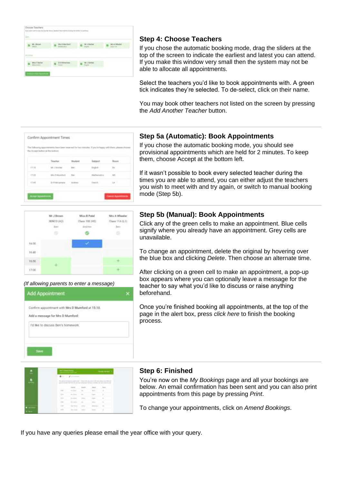| paintenance as it for | 77<br>n vo<br>. |  |
|-----------------------|-----------------|--|
|                       |                 |  |
|                       |                 |  |
|                       |                 |  |
|                       |                 |  |

## **Step 4: Choose Teachers**

If you chose the automatic booking mode, drag the sliders at the top of the screen to indicate the earliest and latest you can attend. If you make this window very small then the system may not be able to allocate all appointments.

Select the teachers you'd like to book appointments with. A green tick indicates they're selected. To de-select, click on their name.

You may book other teachers not listed on the screen by pressing the *Add Another Teacher* button.



#### **Step 5a (Automatic): Book Appointments**

If you chose the automatic booking mode, you should see provisional appointments which are held for 2 minutes. To keep them, choose Accept at the bottom left.

If it wasn't possible to book every selected teacher during the times you are able to attend, you can either adjust the teachers you wish to meet with and try again, or switch to manual booking mode (Step 5b).



#### *(If allowing parents to enter a message)*



#### **Step 5b (Manual): Book Appointments**

Click any of the green cells to make an appointment. Blue cells signify where you already have an appointment. Grey cells are unavailable.

To change an appointment, delete the original by hovering over the blue box and clicking *Delete*. Then choose an alternate time.

After clicking on a green cell to make an appointment, a pop-up box appears where you can optionally leave a message for the teacher to say what you'd like to discuss or raise anything beforehand.

Once you're finished booking all appointments, at the top of the page in the alert box, press *click here* to finish the booking process.

#### **Step 6: Finished**

You're now on the *My Bookings* page and all your bookings are below. An email confirmation has been sent and you can also print appointments from this page by pressing *Print*.

To change your appointments, click on *Amend Bookings*.

If you have any queries please email the year office with your query.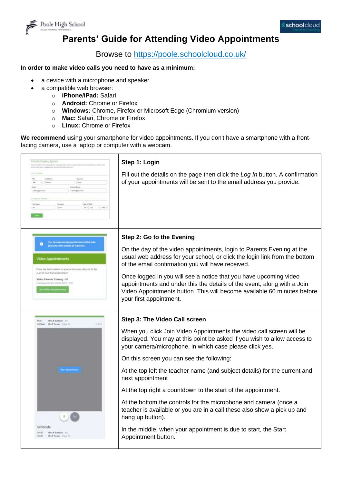

# **Parents' Guide for Attending Video Appointments**

## Browse to<https://poole.schoolcloud.co.uk/>

#### **In order to make video calls you need to have as a minimum:**

- a device with a microphone and speaker
- a compatible web browser:
	- o **iPhone/iPad:** Safari
	- o **Android:** Chrome or Firefox
	- o **Windows:** Chrome, Firefox or Microsoft Edge (Chromium version)
	- o **Mac:** Safari, Chrome or Firefox
	- o **Linux:** Chrome or Firefox

**We recommend u**sing your smartphone for video appointments. If you don't have a smartphone with a frontfacing camera, use a laptop or computer with a webcam.

| Potental Electrica diyakers<br>in to have been pointed.<br>$\mathcal{F}$ . Referred<br><b>District</b><br><b>Easy of Service</b><br>$+1.200 -$<br>mint.<br>$10 - 11$ ad: | Step 1: Login<br>Fill out the details on the page then click the Log In button. A confirmation<br>of your appointments will be sent to the email address you provide.                                                                              |
|--------------------------------------------------------------------------------------------------------------------------------------------------------------------------|----------------------------------------------------------------------------------------------------------------------------------------------------------------------------------------------------------------------------------------------------|
|                                                                                                                                                                          | Step 2: Go to the Evening                                                                                                                                                                                                                          |
| This have specified specification<br>place by this contract of the parties<br>Video Appointments<br>Presis the button behiv to access the wileo sall prior to the        | On the day of the video appointments, login to Parents Evening at the<br>usual web address for your school, or click the login link from the bottom<br>of the email confirmation you will have received.                                           |
| start of your first appointment.<br>Video Parents Evening - M.<br>First oppointment 26/65/2020 18:00                                                                     | Once logged in you will see a notice that you have upcoming video<br>appointments and under this the details of the event, along with a Join<br>Video Appointments button. This will become available 60 minutes before<br>your first appointment. |
| <b>Max Killanees</b> Art<br>IN Neel Mrs F.Turrer (1999) 15<br>$-257$                                                                                                     | Step 3: The Video Call screen                                                                                                                                                                                                                      |
|                                                                                                                                                                          | When you click Join Video Appointments the video call screen will be<br>displayed. You may at this point be asked if you wish to allow access to<br>your camera/microphone, in which case please click yes.                                        |
|                                                                                                                                                                          | On this screen you can see the following:                                                                                                                                                                                                          |
|                                                                                                                                                                          | At the top left the teacher name (and subject details) for the current and<br>next appointment                                                                                                                                                     |
|                                                                                                                                                                          | At the top right a countdown to the start of the appointment.                                                                                                                                                                                      |
|                                                                                                                                                                          | At the bottom the controls for the microphone and camera (once a<br>teacher is available or you are in a call these also show a pick up and<br>hang up button).                                                                                    |
| Schedule<br><b>Max Kitherens</b> Art<br>10098<br>Mrs F. Raker, Time 15<br>140.00                                                                                         | In the middle, when your appointment is due to start, the Start<br>Appointment button.                                                                                                                                                             |